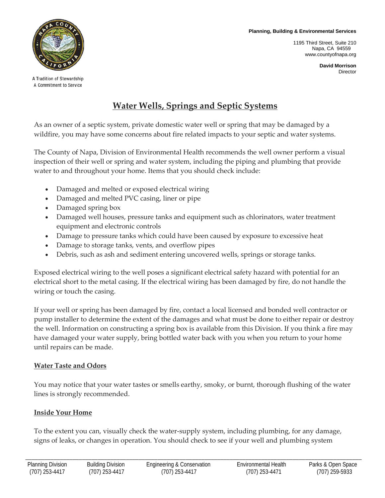**Planning, Building & Environmental Services**

1195 Third Street, Suite 210 Napa, CA 94559 www.countyofnapa.org



A Tradition of Stewardship A Commitment to Service

# **Water Wells, Springs and Septic Systems**

As an owner of a septic system, private domestic water well or spring that may be damaged by a wildfire, you may have some concerns about fire related impacts to your septic and water systems.

The County of Napa, Division of Environmental Health recommends the well owner perform a visual inspection of their well or spring and water system, including the piping and plumbing that provide water to and throughout your home. Items that you should check include:

- Damaged and melted or exposed electrical wiring
- Damaged and melted PVC casing, liner or pipe
- Damaged spring box
- Damaged well houses, pressure tanks and equipment such as chlorinators, water treatment equipment and electronic controls
- Damage to pressure tanks which could have been caused by exposure to excessive heat
- Damage to storage tanks, vents, and overflow pipes
- Debris, such as ash and sediment entering uncovered wells, springs or storage tanks.

Exposed electrical wiring to the well poses a significant electrical safety hazard with potential for an electrical short to the metal casing. If the electrical wiring has been damaged by fire, do not handle the wiring or touch the casing.

If your well or spring has been damaged by fire, contact a local licensed and bonded well contractor or pump installer to determine the extent of the damages and what must be done to either repair or destroy the well. Information on constructing a spring box is available from this Division. If you think a fire may have damaged your water supply, bring bottled water back with you when you return to your home until repairs can be made.

## **Water Taste and Odors**

You may notice that your water tastes or smells earthy, smoky, or burnt, thorough flushing of the water lines is strongly recommended.

# **Inside Your Home**

To the extent you can, visually check the water-supply system, including plumbing, for any damage, signs of leaks, or changes in operation. You should check to see if your well and plumbing system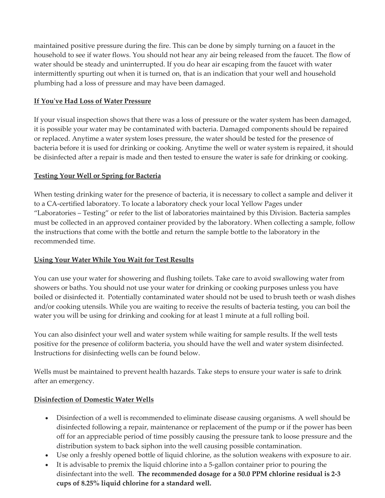maintained positive pressure during the fire. This can be done by simply turning on a faucet in the household to see if water flows. You should not hear any air being released from the faucet. The flow of water should be steady and uninterrupted. If you do hear air escaping from the faucet with water intermittently spurting out when it is turned on, that is an indication that your well and household plumbing had a loss of pressure and may have been damaged.

#### **If You've Had Loss of Water Pressure**

If your visual inspection shows that there was a loss of pressure or the water system has been damaged, it is possible your water may be contaminated with bacteria. Damaged components should be repaired or replaced. Anytime a water system loses pressure, the water should be tested for the presence of bacteria before it is used for drinking or cooking. Anytime the well or water system is repaired, it should be disinfected after a repair is made and then tested to ensure the water is safe for drinking or cooking.

#### **Testing Your Well or Spring for Bacteria**

When testing drinking water for the presence of bacteria, it is necessary to collect a sample and deliver it to a CA-certified laboratory. To locate a laboratory check your local Yellow Pages under "Laboratories – Testing" or refer to the list of laboratories maintained by this Division. Bacteria samples must be collected in an approved container provided by the laboratory. When collecting a sample, follow the instructions that come with the bottle and return the sample bottle to the laboratory in the recommended time.

#### **Using Your Water While You Wait for Test Results**

You can use your water for showering and flushing toilets. Take care to avoid swallowing water from showers or baths. You should not use your water for drinking or cooking purposes unless you have boiled or disinfected it. Potentially contaminated water should not be used to brush teeth or wash dishes and/or cooking utensils. While you are waiting to receive the results of bacteria testing, you can boil the water you will be using for drinking and cooking for at least 1 minute at a full rolling boil.

You can also disinfect your well and water system while waiting for sample results. If the well tests positive for the presence of coliform bacteria, you should have the well and water system disinfected. Instructions for disinfecting wells can be found below.

Wells must be maintained to prevent health hazards. Take steps to ensure your water is safe to drink after an emergency.

## **Disinfection of Domestic Water Wells**

- Disinfection of a well is recommended to eliminate disease causing organisms. A well should be disinfected following a repair, maintenance or replacement of the pump or if the power has been off for an appreciable period of time possibly causing the pressure tank to loose pressure and the distribution system to back siphon into the well causing possible contamination.
- Use only a freshly opened bottle of liquid chlorine, as the solution weakens with exposure to air.
- It is advisable to premix the liquid chlorine into a 5-gallon container prior to pouring the disinfectant into the well. **The recommended dosage for a 50.0 PPM chlorine residual is 2-3 cups of 8.25% liquid chlorine for a standard well.**